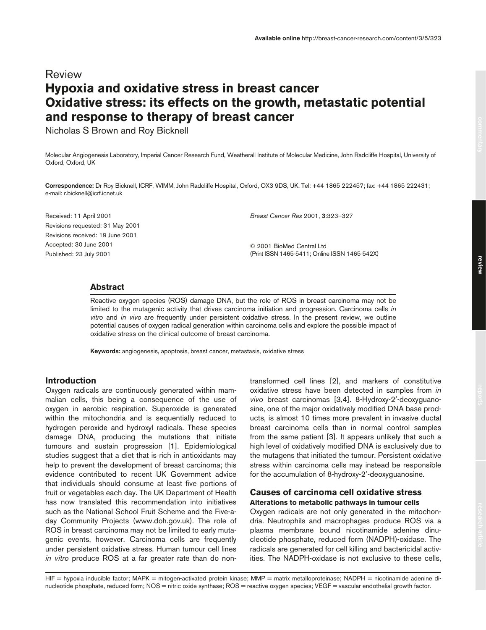# Review **Hypoxia and oxidative stress in breast cancer Oxidative stress: its effects on the growth, metastatic potential and response to therapy of breast cancer**

Nicholas S Brown and Roy Bicknell

Molecular Angiogenesis Laboratory, Imperial Cancer Research Fund, Weatherall Institute of Molecular Medicine, John Radcliffe Hospital, University of Oxford, Oxford, UK

**Correspondence:** Dr Roy Bicknell, ICRF, WIMM, John Radcliffe Hospital, Oxford, OX3 9DS, UK. Tel: +44 1865 222457; fax: +44 1865 222431; e-mail: r.bicknell@icrf.icnet.uk

Received: 11 April 2001 Revisions requested: 31 May 2001 Revisions received: 19 June 2001 Accepted: 30 June 2001 Published: 23 July 2001

*Breast Cancer Res* 2001, **3**:323–327

© 2001 BioMed Central Ltd (Print ISSN 1465-5411; Online ISSN 1465-542X)

#### **Abstract**

Reactive oxygen species (ROS) damage DNA, but the role of ROS in breast carcinoma may not be limited to the mutagenic activity that drives carcinoma initiation and progression. Carcinoma cells *in vitro* and *in vivo* are frequently under persistent oxidative stress. In the present review, we outline potential causes of oxygen radical generation within carcinoma cells and explore the possible impact of oxidative stress on the clinical outcome of breast carcinoma.

**Keywords:** angiogenesis, apoptosis, breast cancer, metastasis, oxidative stress

## **Introduction**

Oxygen radicals are continuously generated within mammalian cells, this being a consequence of the use of oxygen in aerobic respiration. Superoxide is generated within the mitochondria and is sequentially reduced to hydrogen peroxide and hydroxyl radicals. These species damage DNA, producing the mutations that initiate tumours and sustain progression [1]. Epidemiological studies suggest that a diet that is rich in antioxidants may help to prevent the development of breast carcinoma; this evidence contributed to recent UK Government advice that individuals should consume at least five portions of fruit or vegetables each day. The UK Department of Health has now translated this recommendation into initiatives such as the National School Fruit Scheme and the Five-aday Community Projects (www.doh.gov.uk). The role of ROS in breast carcinoma may not be limited to early mutagenic events, however. Carcinoma cells are frequently under persistent oxidative stress. Human tumour cell lines *in vitro* produce ROS at a far greater rate than do nontransformed cell lines [2], and markers of constitutive oxidative stress have been detected in samples from *in vivo* breast carcinomas [3,4]. 8-Hydroxy-2′-deoxyguanosine, one of the major oxidatively modified DNA base products, is almost 10 times more prevalent in invasive ductal breast carcinoma cells than in normal control samples from the same patient [3]. It appears unlikely that such a high level of oxidatively modified DNA is exclusively due to the mutagens that initiated the tumour. Persistent oxidative stress within carcinoma cells may instead be responsible for the accumulation of 8-hydroxy-2′-deoxyguanosine.

## **Causes of carcinoma cell oxidative stress Alterations to metabolic pathways in tumour cells**

Oxygen radicals are not only generated in the mitochondria. Neutrophils and macrophages produce ROS via a plasma membrane bound nicotinamide adenine dinucleotide phosphate, reduced form (NADPH)-oxidase. The radicals are generated for cell killing and bactericidal activities. The NADPH-oxidase is not exclusive to these cells,

HIF = hypoxia inducible factor; MAPK = mitogen-activated protein kinase; MMP = matrix metalloproteinase; NADPH = nicotinamide adenine dinucleotide phosphate, reduced form; NOS = nitric oxide synthase; ROS = reactive oxygen species; VEGF = vascular endothelial growth factor.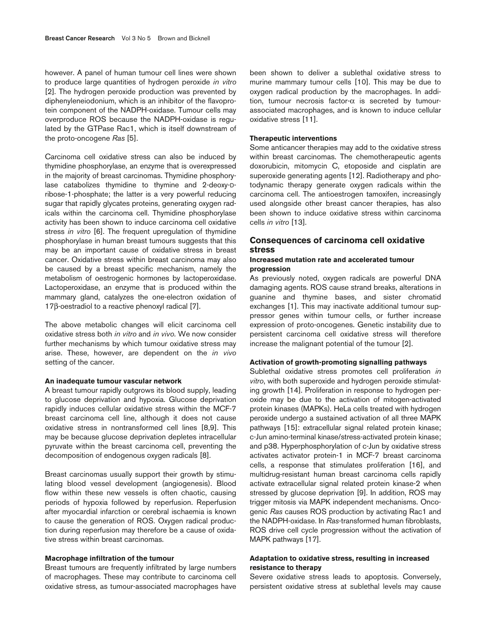however. A panel of human tumour cell lines were shown to produce large quantities of hydrogen peroxide *in vitro* [2]*.* The hydrogen peroxide production was prevented by diphenyleneiodonium, which is an inhibitor of the flavoprotein component of the NADPH-oxidase. Tumour cells may overproduce ROS because the NADPH-oxidase is regulated by the GTPase Rac1, which is itself downstream of the proto-oncogene *Ras* [5].

Carcinoma cell oxidative stress can also be induced by thymidine phosphorylase, an enzyme that is overexpressed in the majority of breast carcinomas. Thymidine phosphorylase catabolizes thymidine to thymine and 2-deoxy-Dribose-1-phosphate; the latter is a very powerful reducing sugar that rapidly glycates proteins, generating oxygen radicals within the carcinoma cell. Thymidine phosphorylase activity has been shown to induce carcinoma cell oxidative stress *in vitro* [6]. The frequent upregulation of thymidine phosphorylase in human breast tumours suggests that this may be an important cause of oxidative stress in breast cancer. Oxidative stress within breast carcinoma may also be caused by a breast specific mechanism, namely the metabolism of oestrogenic hormones by lactoperoxidase. Lactoperoxidase, an enzyme that is produced within the mammary gland, catalyzes the one-electron oxidation of 17β-oestradiol to a reactive phenoxyl radical [7].

The above metabolic changes will elicit carcinoma cell oxidative stress both *in vitro* and *in vivo.* We now consider further mechanisms by which tumour oxidative stress may arise. These, however, are dependent on the *in vivo* setting of the cancer.

#### **An inadequate tumour vascular network**

A breast tumour rapidly outgrows its blood supply, leading to glucose deprivation and hypoxia. Glucose deprivation rapidly induces cellular oxidative stress within the MCF-7 breast carcinoma cell line, although it does not cause oxidative stress in nontransformed cell lines [8,9]. This may be because glucose deprivation depletes intracellular pyruvate within the breast carcinoma cell, preventing the decomposition of endogenous oxygen radicals [8].

Breast carcinomas usually support their growth by stimulating blood vessel development (angiogenesis). Blood flow within these new vessels is often chaotic, causing periods of hypoxia followed by reperfusion. Reperfusion after myocardial infarction or cerebral ischaemia is known to cause the generation of ROS. Oxygen radical production during reperfusion may therefore be a cause of oxidative stress within breast carcinomas.

## **Macrophage infiltration of the tumour**

Breast tumours are frequently infiltrated by large numbers of macrophages. These may contribute to carcinoma cell oxidative stress, as tumour-associated macrophages have been shown to deliver a sublethal oxidative stress to murine mammary tumour cells [10]. This may be due to oxygen radical production by the macrophages. In addition, tumour necrosis factor- $\alpha$  is secreted by tumourassociated macrophages, and is known to induce cellular oxidative stress [11].

#### **Therapeutic interventions**

Some anticancer therapies may add to the oxidative stress within breast carcinomas. The chemotherapeutic agents doxorubicin, mitomycin C, etoposide and cisplatin are superoxide generating agents [12]. Radiotherapy and photodynamic therapy generate oxygen radicals within the carcinoma cell. The antioestrogen tamoxifen, increasingly used alongside other breast cancer therapies, has also been shown to induce oxidative stress within carcinoma cells *in vitro* [13]*.*

## **Consequences of carcinoma cell oxidative stress**

## **Increased mutation rate and accelerated tumour progression**

As previously noted, oxygen radicals are powerful DNA damaging agents. ROS cause strand breaks, alterations in guanine and thymine bases, and sister chromatid exchanges [1]. This may inactivate additional tumour suppressor genes within tumour cells, or further increase expression of proto-oncogenes. Genetic instability due to persistent carcinoma cell oxidative stress will therefore increase the malignant potential of the tumour [2].

#### **Activation of growth-promoting signalling pathways**

Sublethal oxidative stress promotes cell proliferation *in vitro*, with both superoxide and hydrogen peroxide stimulating growth [14]. Proliferation in response to hydrogen peroxide may be due to the activation of mitogen-activated protein kinases (MAPKs). HeLa cells treated with hydrogen peroxide undergo a sustained activation of all three MAPK pathways [15]: extracellular signal related protein kinase; c-Jun amino-terminal kinase/stress-activated protein kinase; and p38. Hyperphosphorylation of c-Jun by oxidative stress activates activator protein-1 in MCF-7 breast carcinoma cells, a response that stimulates proliferation [16], and multidrug-resistant human breast carcinoma cells rapidly activate extracellular signal related protein kinase-2 when stressed by glucose deprivation [9]. In addition, ROS may trigger mitosis via MAPK independent mechanisms. Oncogenic *Ras* causes ROS production by activating Rac1 and the NADPH-oxidase. In *Ras*-transformed human fibroblasts, ROS drive cell cycle progression without the activation of MAPK pathways [17].

## **Adaptation to oxidative stress, resulting in increased resistance to therapy**

Severe oxidative stress leads to apoptosis. Conversely, persistent oxidative stress at sublethal levels may cause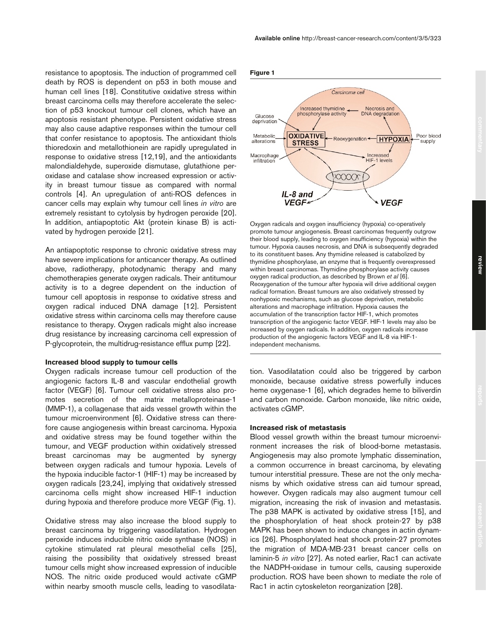resistance to apoptosis. The induction of programmed cell death by ROS is dependent on p53 in both mouse and human cell lines [18]. Constitutive oxidative stress within breast carcinoma cells may therefore accelerate the selection of p53 knockout tumour cell clones, which have an apoptosis resistant phenotype. Persistent oxidative stress may also cause adaptive responses within the tumour cell that confer resistance to apoptosis. The antioxidant thiols thioredoxin and metallothionein are rapidly upregulated in response to oxidative stress [12,19], and the antioxidants malondialdehyde, superoxide dismutase, glutathione peroxidase and catalase show increased expression or activity in breast tumour tissue as compared with normal controls [4]. An upregulation of anti-ROS defences in cancer cells may explain why tumour cell lines *in vitro* are extremely resistant to cytolysis by hydrogen peroxide [20]. In addition, antiapoptotic Akt (protein kinase B) is activated by hydrogen peroxide [21].

An antiapoptotic response to chronic oxidative stress may have severe implications for anticancer therapy. As outlined above, radiotherapy, photodynamic therapy and many chemotherapies generate oxygen radicals. Their antitumour activity is to a degree dependent on the induction of tumour cell apoptosis in response to oxidative stress and oxygen radical induced DNA damage [12]. Persistent oxidative stress within carcinoma cells may therefore cause resistance to therapy. Oxygen radicals might also increase drug resistance by increasing carcinoma cell expression of P-glycoprotein, the multidrug-resistance efflux pump [22].

#### **Increased blood supply to tumour cells**

Oxygen radicals increase tumour cell production of the angiogenic factors IL-8 and vascular endothelial growth factor (VEGF) [6]. Tumour cell oxidative stress also promotes secretion of the matrix metalloproteinase-1 (MMP-1), a collagenase that aids vessel growth within the tumour microenvironment [6]. Oxidative stress can therefore cause angiogenesis within breast carcinoma. Hypoxia and oxidative stress may be found together within the tumour, and VEGF production within oxidatively stressed breast carcinomas may be augmented by synergy between oxygen radicals and tumour hypoxia. Levels of the hypoxia inducible factor-1 (HIF-1) may be increased by oxygen radicals [23,24], implying that oxidatively stressed carcinoma cells might show increased HIF-1 induction during hypoxia and therefore produce more VEGF (Fig. 1).

Oxidative stress may also increase the blood supply to breast carcinoma by triggering vasodilatation. Hydrogen peroxide induces inducible nitric oxide synthase (NOS) in cytokine stimulated rat pleural mesothelial cells [25], raising the possibility that oxidatively stressed breast tumour cells might show increased expression of inducible NOS. The nitric oxide produced would activate cGMP within nearby smooth muscle cells, leading to vasodilata**Figure 1**



Oxygen radicals and oxygen insufficiency (hypoxia) co-operatively promote tumour angiogenesis. Breast carcinomas frequently outgrow their blood supply, leading to oxygen insufficiency (hypoxia) within the tumour. Hypoxia causes necrosis, and DNA is subsequently degraded to its constituent bases. Any thymidine released is catabolized by thymidine phosphorylase, an enzyme that is frequently overexpressed within breast carcinomas. Thymidine phosphorylase activity causes oxygen radical production, as described by Brown *et al* [6]. Reoxygenation of the tumour after hypoxia will drive additional oxygen radical formation. Breast tumours are also oxidatively stressed by nonhypoxic mechanisms, such as glucose deprivation, metabolic alterations and macrophage infiltration. Hypoxia causes the accumulation of the transcription factor HIF-1, which promotes transcription of the angiogenic factor VEGF. HIF-1 levels may also be increased by oxygen radicals. In addition, oxygen radicals increase production of the angiogenic factors VEGF and IL-8 via HIF-1 independent mechanisms.

tion. Vasodilatation could also be triggered by carbon monoxide, because oxidative stress powerfully induces heme oxygenase-1 [6], which degrades heme to biliverdin and carbon monoxide. Carbon monoxide, like nitric oxide, activates cGMP.

#### **Increased risk of metastasis**

Blood vessel growth within the breast tumour microenvironment increases the risk of blood-borne metastasis. Angiogenesis may also promote lymphatic dissemination, a common occurrence in breast carcinoma, by elevating tumour interstitial pressure. These are not the only mechanisms by which oxidative stress can aid tumour spread, however. Oxygen radicals may also augment tumour cell migration, increasing the risk of invasion and metastasis. The p38 MAPK is activated by oxidative stress [15], and the phosphorylation of heat shock protein-27 by p38 MAPK has been shown to induce changes in actin dynamics [26]. Phosphorylated heat shock protein-27 promotes the migration of MDA-MB-231 breast cancer cells on laminin-5 *in vitro* [27]. As noted earlier, Rac1 can activate the NADPH-oxidase in tumour cells, causing superoxide production. ROS have been shown to mediate the role of Rac1 in actin cytoskeleton reorganization [28].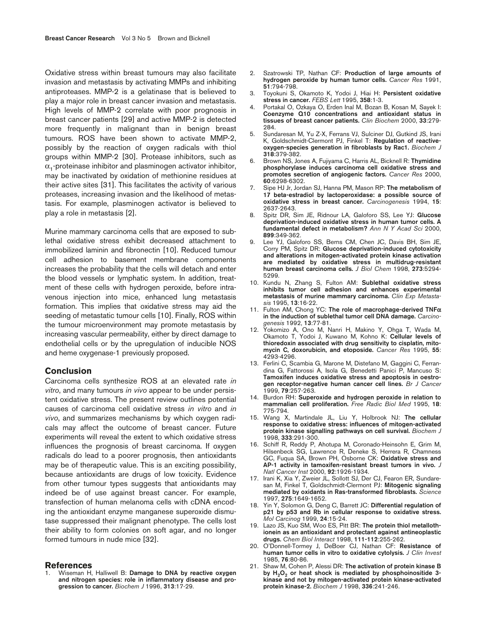Oxidative stress within breast tumours may also facilitate invasion and metastasis by activating MMPs and inhibiting antiproteases. MMP-2 is a gelatinase that is believed to play a major role in breast cancer invasion and metastasis. High levels of MMP-2 correlate with poor prognosis in breast cancer patients [29] and active MMP-2 is detected more frequently in malignant than in benign breast tumours. ROS have been shown to activate MMP-2, possibly by the reaction of oxygen radicals with thiol groups within MMP-2 [30]. Protease inhibitors, such as  $\alpha_1$ -proteinase inhibitor and plasminogen activator inhibitor, may be inactivated by oxidation of methionine residues at their active sites [31]. This facilitates the activity of various proteases, increasing invasion and the likelihood of metastasis. For example, plasminogen activator is believed to play a role in metastasis [2].

Murine mammary carcinoma cells that are exposed to sublethal oxidative stress exhibit decreased attachment to immobilized laminin and fibronectin [10]. Reduced tumour cell adhesion to basement membrane components increases the probability that the cells will detach and enter the blood vessels or lymphatic system. In addition, treatment of these cells with hydrogen peroxide, before intravenous injection into mice, enhanced lung metastasis formation. This implies that oxidative stress may aid the seeding of metastatic tumour cells [10]. Finally, ROS within the tumour microenvironment may promote metastasis by increasing vascular permeability, either by direct damage to endothelial cells or by the upregulation of inducible NOS and heme oxygenase-1 previously proposed.

#### **Conclusion**

Carcinoma cells synthesize ROS at an elevated rate *in vitro*, and many tumours *in vivo* appear to be under persistent oxidative stress. The present review outlines potential causes of carcinoma cell oxidative stress *in vitro* and *in vivo*, and summarizes mechanisms by which oxygen radicals may affect the outcome of breast cancer. Future experiments will reveal the extent to which oxidative stress influences the prognosis of breast carcinoma. If oxygen radicals do lead to a poorer prognosis, then antioxidants may be of therapeutic value. This is an exciting possibility, because antioxidants are drugs of low toxicity. Evidence from other tumour types suggests that antioxidants may indeed be of use against breast cancer. For example, transfection of human melanoma cells with cDNA encoding the antioxidant enzyme manganese superoxide dismutase suppressed their malignant phenotype. The cells lost their ability to form colonies on soft agar, and no longer formed tumours in nude mice [32].

#### **References**

1. Wiseman H, Halliwell B: **Damage to DNA by reactive oxygen and nitrogen species: role in inflammatory disease and progression to cancer.** *Biochem J* 1996, **313**:17-29.

- Szatrowski TP, Nathan CF: Production of large amounts of **hydrogen peroxide by human tumor cells.** *Cancer Res* 1991, **51**:794-798.
- 3. Toyokuni S, Okamoto K, Yodoi J, Hiai H: **Persistent oxidative stress in cancer.** *FEBS Lett* 1995, **358**:1-3.
- 4. Portakal O, Ozkaya O, Erden Inal M, Bozan B, Kosan M, Sayek I: **Coenzyme Q10 concentrations and antioxidant status in tissues of breast cancer patients.** *Clin Biochem* 2000, **33**:279- 284.
- 5. Sundaresan M, Yu Z-X, Ferrans VJ, Sulciner DJ, Gutkind JS, Irani K, Goldschmidt-Clermont PJ, Finkel T: **Regulation of reactiveoxygen-species generation in fibroblasts by Rac1.** *Biochem J* **318**:379-382.
- 6. Brown NS, Jones A, Fujiyama C, Harris AL, Bicknell R: **Thymidine phosphorylase induces carcinoma cell oxidative stress and promotes secretion of angiogenic factors.** *Cancer Res* 2000, **60**:6298-6302.
- 7. Sipe HJ Jr, Jordan SJ, Hanna PM, Mason RP: **The metabolism of 17 beta-estradiol by lactoperoxidase: a possible source of oxidative stress in breast cancer.** *Carcinogenesis* 1994, **15**: 2637-2643.
- 8. Spitz DR, Sim JE, Ridnour LA, Galoforo SS, Lee YJ: **Glucose deprivation-induced oxidative stress in human tumor cells. A fundamental defect in metabolism?** *Ann N Y Acad Sci* 2000, **899**:349-362.
- 9. Lee YJ, Galoforo SS, Berns CM, Chen JC, Davis BH, Sim JE, Corry PM, Spitz DR: **Glucose deprivation-induced cytotoxicity and alterations in mitogen-activated protein kinase activation are mediated by oxidative stress in multidrug-resistant human breast carcinoma cells.** *J Biol Chem* 1998, **273**:5294- 5299.
- 10. Kundu N, Zhang S, Fulton AM: **Sublethal oxidative stress inhibits tumor cell adhesion and enhances experimental metastasis of murine mammary carcinoma.** *Clin Exp Metastasis* 1995, **13**:16-22.
- 11. Fulton AM, Chong YC: **The role of macrophage-derived TNF**α **in the induction of sublethal tumor cell DNA damage.** *Carcinogenesis* 1992, **13**:77-81.
- 12. Yokomizo A, Ono M, Nanri H, Makino Y, Ohga T, Wada M, Okamoto T, Yodoi J, Kuwano M, Kohno K: **Cellular levels of thioredoxin associated with drug sensitivity to cisplatin, mitomycin C, doxorubicin, and etoposide.** *Cancer Res* 1995, **55**: 4293-4296.
- 13. Ferlini C, Scambia G, Marone M, Distefano M, Gaggini C, Ferrandina G, Fattorossi A, Isola G, Benedetti Panici P, Mancuso S: **Tamoxifen induces oxidative stress and apoptosis in oestrogen receptor-negative human cancer cell lines.** *Br J Cancer* 1999, **79**:257-263.
- 14. Burdon RH: **Superoxide and hydrogen peroxide in relation to mammalian cell proliferation.** *Free Radic Biol Med* 1995, **18**: 775-794.
- 15. Wang X, Martindale JL, Liu Y, Holbrook NJ: **The cellular response to oxidative stress: influences of mitogen-activated protein kinase signalling pathways on cell survival.** *Biochem J* 1998, **333**:291-300.
- 16. Schiff R, Reddy P, Ahotupa M, Coronado-Heinsohn E, Grim M, Hilsenbeck SG, Lawrence R, Deneke S, Herrera R, Chamness GC, Fuqua SA, Brown PH, Osborne CK: **Oxidative stress and AP-1 activity in tamoxifen-resistant breast tumors in vivo.** *J Natl Cancer Inst* 2000, **92**:1926-1934.
- 17. Irani K, Xia Y, Zweier JL, Sollott SJ, Der CJ, Fearon ER, Sundaresan M, Finkel T, Goldschmidt-Clermont PJ: **Mitogenic signaling mediated by oxidants in Ras-transformed fibroblasts.** *Science* 1997, **275**:1649-1652.
- 18. Yin Y, Solomon G, Deng C, Barrett JC: **Differential regulation of p21 by p53 and Rb in cellular response to oxidative stress.** *Mol Carcinog* 1999, **24**:15-24.
- 19. Lazo JS, Kuo SM, Woo ES, Pitt BR: **The protein thiol metallothionein as an antioxidant and protectant against antineoplastic drugs.** *Chem Biol Interact* 1998, **111-112**:255-262.
- 20. O'Donnell-Tormey J, DeBoer CJ, Nathan CF: **Resistance of human tumor cells in vitro to oxidative cytolysis.** *J Clin Invest* 1985, **76**:80-86.
- 21. Shaw M, Cohen P, Alessi DR: **The activation of protein kinase B** by H<sub>2</sub>O<sub>2</sub> or heat shock is mediated by phosphoinositide 3**kinase and not by mitogen-activated protein kinase-activated protein kinase-2.** *Biochem J* 1998, **336**:241-246.